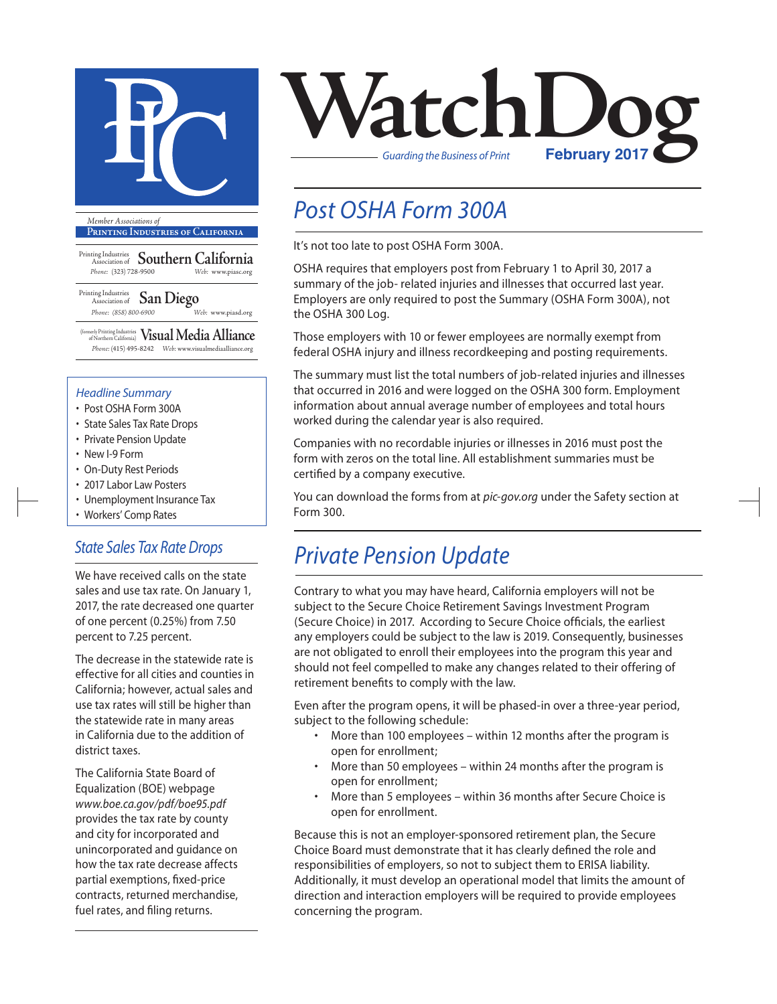

**Printing Industries of California**

Printing Industries Association of **Southern California** *Phone:* (323) 728-9500 *Web:* www.piasc.org

Printing Industries Association of **San Diego** *Phone: (858) 800-6900 Web:* www.piasd.org

(formerly Printing Industries of Northern California) **Visual Media Alliance** *Phone:* (415) 495-8242 *Web:* www.visualmediaalliance.org

#### *Headline Summary*

- Post OSHA Form 300A
- State Sales Tax Rate Drops
- Private Pension Update
- New I-9 Form
- On-Duty Rest Periods
- 2017 Labor Law Posters
- Unemployment Insurance Tax
- Workers' Comp Rates

#### *State Sales Tax Rate Drops*

We have received calls on the state sales and use tax rate. On January 1, 2017, the rate decreased one quarter of one percent (0.25%) from 7.50 percent to 7.25 percent.

The decrease in the statewide rate is effective for all cities and counties in California; however, actual sales and use tax rates will still be higher than the statewide rate in many areas in California due to the addition of district taxes.

The California State Board of Equalization (BOE) webpage *www.boe.ca.gov/pdf/boe95.pdf* provides the tax rate by county and city for incorporated and unincorporated and guidance on how the tax rate decrease affects partial exemptions, fixed-price contracts, returned merchandise, fuel rates, and filing returns.



## *Post OSHA Form 300A*

It's not too late to post OSHA Form 300A.

OSHA requires that employers post from February 1 to April 30, 2017 a summary of the job- related injuries and illnesses that occurred last year. Employers are only required to post the Summary (OSHA Form 300A), not the OSHA 300 Log.

Those employers with 10 or fewer employees are normally exempt from federal OSHA injury and illness recordkeeping and posting requirements.

The summary must list the total numbers of job-related injuries and illnesses that occurred in 2016 and were logged on the OSHA 300 form. Employment information about annual average number of employees and total hours worked during the calendar year is also required.

Companies with no recordable injuries or illnesses in 2016 must post the form with zeros on the total line. All establishment summaries must be certified by a company executive.

You can download the forms from at *pic-gov.org* under the Safety section at Form 300.

### *Private Pension Update*

Contrary to what you may have heard, California employers will not be subject to the Secure Choice Retirement Savings Investment Program (Secure Choice) in 2017. According to Secure Choice officials, the earliest any employers could be subject to the law is 2019. Consequently, businesses are not obligated to enroll their employees into the program this year and should not feel compelled to make any changes related to their offering of retirement benefits to comply with the law.

Even after the program opens, it will be phased-in over a three-year period, subject to the following schedule:

- More than 100 employees within 12 months after the program is open for enrollment;
- More than 50 employees within 24 months after the program is open for enrollment;
- More than 5 employees within 36 months after Secure Choice is open for enrollment.

Because this is not an employer-sponsored retirement plan, the Secure Choice Board must demonstrate that it has clearly defined the role and responsibilities of employers, so not to subject them to ERISA liability. Additionally, it must develop an operational model that limits the amount of direction and interaction employers will be required to provide employees concerning the program.